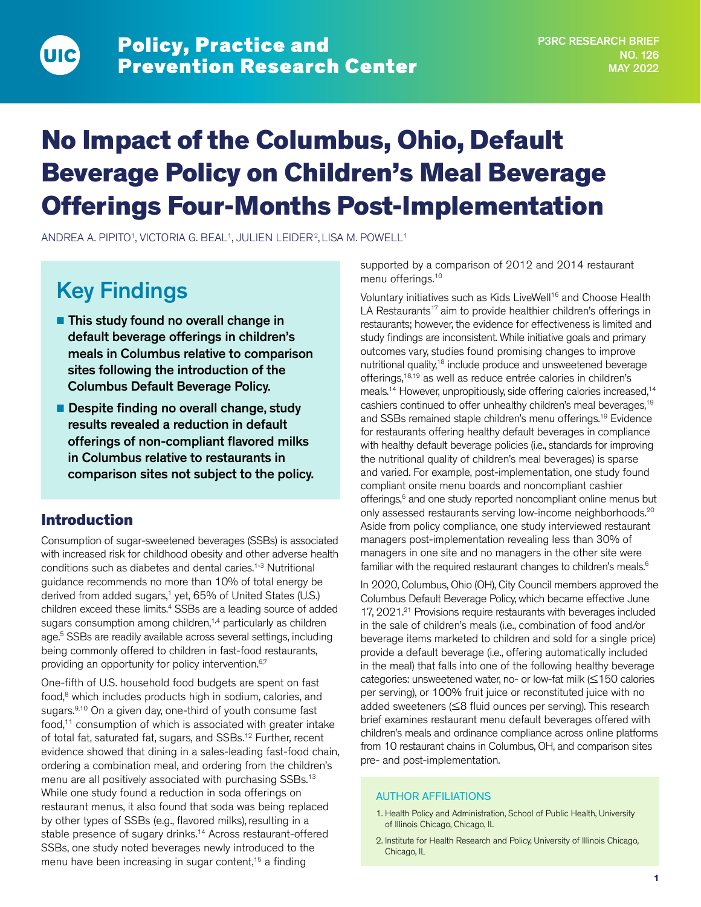# No Impact of the Columbus, Ohio, Default Beverage Policy on Children's Meal Beverage Offerings Four-Months Post-Implementation

ANDREA A. PIPITO<sup>1</sup>, VICTORIA G. BEAL<sup>1</sup>, JULIEN LEIDER<sup>2</sup>, LISA M. POWELL<sup>1</sup>

## Key Findings

UIC

- This study found no overall change in default beverage offerings in children's meals in Columbus relative to comparison sites following the introduction of the Columbus Default Beverage Policy.
- Despite finding no overall change, study results revealed a reduction in default offerings of non-compliant flavored milks in Columbus relative to restaurants in comparison sites not subject to the policy.

## Introduction

Consumption of sugar-sweetened beverages (SSBs) is associated with increased risk for childhood obesity and other adverse health conditions such as diabetes and dental caries.1-3 Nutritional guidance recommends no more than 10% of total energy be derived from added sugars,<sup>1</sup> yet, 65% of United States (U.S.) children exceed these limits.4 SSBs are a leading source of added sugars consumption among children,<sup>1,4</sup> particularly as children age.5 SSBs are readily available across several settings, including being commonly offered to children in fast-food restaurants, providing an opportunity for policy intervention.<sup>6,7</sup>

One-fifth of U.S. household food budgets are spent on fast food,<sup>8</sup> which includes products high in sodium, calories, and sugars.<sup>9,10</sup> On a given day, one-third of youth consume fast food,<sup>11</sup> consumption of which is associated with greater intake of total fat, saturated fat, sugars, and SSBs.12 Further, recent evidence showed that dining in a sales-leading fast-food chain, ordering a combination meal, and ordering from the children's menu are all positively associated with purchasing SSBs.<sup>13</sup> While one study found a reduction in soda offerings on restaurant menus, it also found that soda was being replaced by other types of SSBs (e.g., flavored milks), resulting in a stable presence of sugary drinks.14 Across restaurant-offered SSBs, one study noted beverages newly introduced to the menu have been increasing in sugar content,<sup>15</sup> a finding

supported by a comparison of 2012 and 2014 restaurant menu offerings.<sup>10</sup>

Voluntary initiatives such as Kids LiveWell<sup>16</sup> and Choose Health LA Restaurants<sup>17</sup> aim to provide healthier children's offerings in restaurants; however, the evidence for effectiveness is limited and study findings are inconsistent. While initiative goals and primary outcomes vary, studies found promising changes to improve nutritional quality,<sup>18</sup> include produce and unsweetened beverage offerings,18,19 as well as reduce entrée calories in children's meals.<sup>14</sup> However, unpropitiously, side offering calories increased,<sup>14</sup> cashiers continued to offer unhealthy children's meal beverages,19 and SSBs remained staple children's menu offerings.19 Evidence for restaurants offering healthy default beverages in compliance with healthy default beverage policies (i.e., standards for improving the nutritional quality of children's meal beverages) is sparse and varied. For example, post-implementation, one study found compliant onsite menu boards and noncompliant cashier offerings,<sup>6</sup> and one study reported noncompliant online menus but only assessed restaurants serving low-income neighborhoods.<sup>20</sup> Aside from policy compliance, one study interviewed restaurant managers post-implementation revealing less than 30% of managers in one site and no managers in the other site were familiar with the required restaurant changes to children's meals.<sup>6</sup>

In 2020, Columbus, Ohio (OH), City Council members approved the Columbus Default Beverage Policy, which became effective June 17, 2021.<sup>21</sup> Provisions require restaurants with beverages included in the sale of children's meals (i.e., combination of food and/or beverage items marketed to children and sold for a single price) provide a default beverage (i.e., offering automatically included in the meal) that falls into one of the following healthy beverage categories: unsweetened water, no- or low-fat milk (≤150 calories per serving), or 100% fruit juice or reconstituted juice with no added sweeteners (≤8 fluid ounces per serving). This research brief examines restaurant menu default beverages offered with children's meals and ordinance compliance across online platforms from 10 restaurant chains in Columbus, OH, and comparison sites pre- and post-implementation.

#### AUTHOR AFFILIATIONS

- 1. Health Policy and Administration, School of Public Health, University of Illinois Chicago, Chicago, IL
- 2. Institute for Health Research and Policy, University of Illinois Chicago, Chicago, IL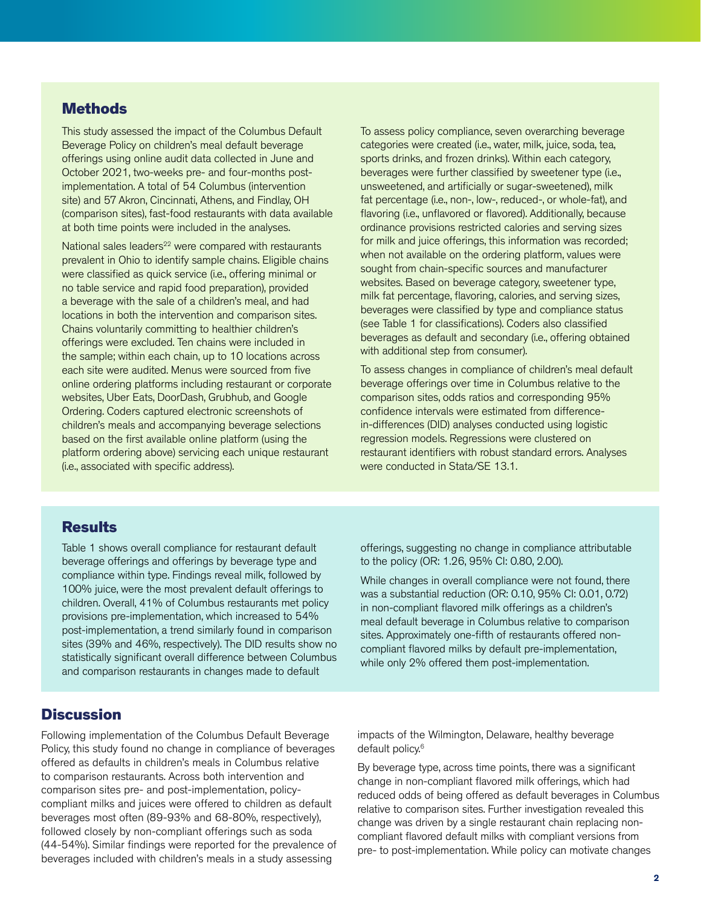## **Methods**

This study assessed the impact of the Columbus Default Beverage Policy on children's meal default beverage offerings using online audit data collected in June and October 2021, two-weeks pre- and four-months postimplementation. A total of 54 Columbus (intervention site) and 57 Akron, Cincinnati, Athens, and Findlay, OH (comparison sites), fast-food restaurants with data available at both time points were included in the analyses.

National sales leaders<sup>22</sup> were compared with restaurants prevalent in Ohio to identify sample chains. Eligible chains were classified as quick service (i.e., offering minimal or no table service and rapid food preparation), provided a beverage with the sale of a children's meal, and had locations in both the intervention and comparison sites. Chains voluntarily committing to healthier children's offerings were excluded. Ten chains were included in the sample; within each chain, up to 10 locations across each site were audited. Menus were sourced from five online ordering platforms including restaurant or corporate websites, Uber Eats, DoorDash, Grubhub, and Google Ordering. Coders captured electronic screenshots of children's meals and accompanying beverage selections based on the first available online platform (using the platform ordering above) servicing each unique restaurant (i.e., associated with specific address).

To assess policy compliance, seven overarching beverage categories were created (i.e., water, milk, juice, soda, tea, sports drinks, and frozen drinks). Within each category, beverages were further classified by sweetener type (i.e., unsweetened, and artificially or sugar-sweetened), milk fat percentage (i.e., non-, low-, reduced-, or whole-fat), and flavoring (i.e., unflavored or flavored). Additionally, because ordinance provisions restricted calories and serving sizes for milk and juice offerings, this information was recorded; when not available on the ordering platform, values were sought from chain-specific sources and manufacturer websites. Based on beverage category, sweetener type, milk fat percentage, flavoring, calories, and serving sizes, beverages were classified by type and compliance status (see Table 1 for classifications). Coders also classified beverages as default and secondary (i.e., offering obtained with additional step from consumer).

To assess changes in compliance of children's meal default beverage offerings over time in Columbus relative to the comparison sites, odds ratios and corresponding 95% confidence intervals were estimated from differencein-differences (DID) analyses conducted using logistic regression models. Regressions were clustered on restaurant identifiers with robust standard errors. Analyses were conducted in Stata/SE 13.1.

#### **Results**

Table 1 shows overall compliance for restaurant default beverage offerings and offerings by beverage type and compliance within type. Findings reveal milk, followed by 100% juice, were the most prevalent default offerings to children. Overall, 41% of Columbus restaurants met policy provisions pre-implementation, which increased to 54% post-implementation, a trend similarly found in comparison sites (39% and 46%, respectively). The DID results show no statistically significant overall difference between Columbus and comparison restaurants in changes made to default

offerings, suggesting no change in compliance attributable to the policy (OR: 1.26, 95% CI: 0.80, 2.00).

While changes in overall compliance were not found, there was a substantial reduction (OR: 0.10, 95% CI: 0.01, 0.72) in non-compliant flavored milk offerings as a children's meal default beverage in Columbus relative to comparison sites. Approximately one-fifth of restaurants offered noncompliant flavored milks by default pre-implementation, while only 2% offered them post-implementation.

#### **Discussion**

Following implementation of the Columbus Default Beverage Policy, this study found no change in compliance of beverages offered as defaults in children's meals in Columbus relative to comparison restaurants. Across both intervention and comparison sites pre- and post-implementation, policycompliant milks and juices were offered to children as default beverages most often (89-93% and 68-80%, respectively), followed closely by non-compliant offerings such as soda (44-54%). Similar findings were reported for the prevalence of beverages included with children's meals in a study assessing

impacts of the Wilmington, Delaware, healthy beverage default policy.<sup>6</sup>

By beverage type, across time points, there was a significant change in non-compliant flavored milk offerings, which had reduced odds of being offered as default beverages in Columbus relative to comparison sites. Further investigation revealed this change was driven by a single restaurant chain replacing noncompliant flavored default milks with compliant versions from pre- to post-implementation. While policy can motivate changes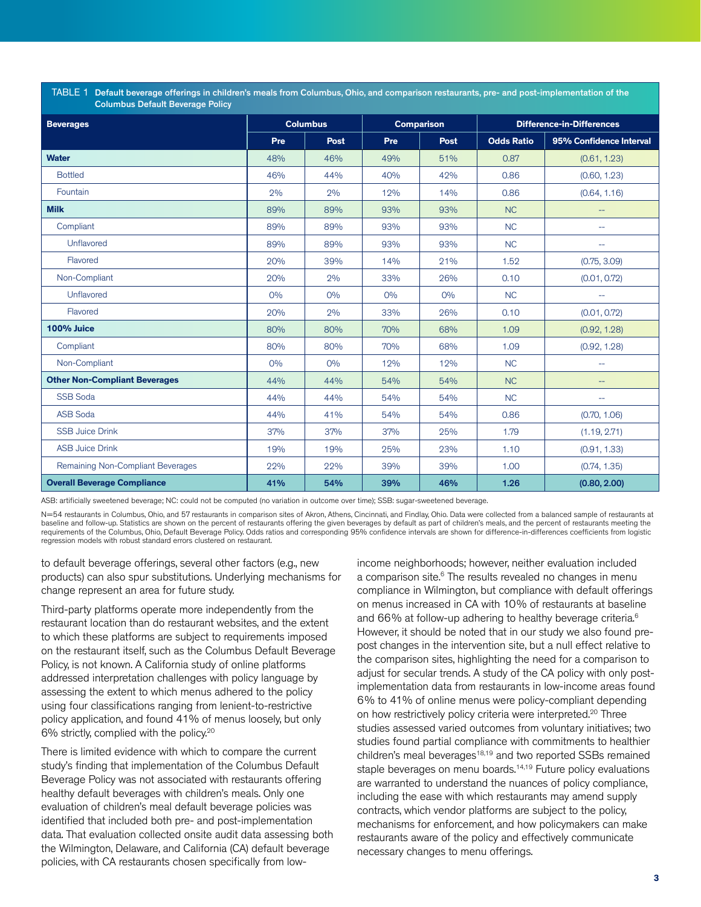TABLE 1 Default beverage offerings in children's meals from Columbus, Ohio, and comparison restaurants, pre- and post-implementation of the Columbus Default Beverage Policy

| <b>Beverages</b>                     | <b>Columbus</b> |       | <b>Comparison</b> |             | <b>Difference-in-Differences</b> |                         |
|--------------------------------------|-----------------|-------|-------------------|-------------|----------------------------------|-------------------------|
|                                      | Pre             | Post  | Pre               | <b>Post</b> | <b>Odds Ratio</b>                | 95% Confidence Interval |
| <b>Water</b>                         | 48%             | 46%   | 49%               | 51%         | 0.87                             | (0.61, 1.23)            |
| <b>Bottled</b>                       | 46%             | 44%   | 40%               | 42%         | 0.86                             | (0.60, 1.23)            |
| Fountain                             | 2%              | 2%    | 12%               | 14%         | 0.86                             | (0.64, 1.16)            |
| <b>Milk</b>                          | 89%             | 89%   | 93%               | 93%         | <b>NC</b>                        | $-$                     |
| Compliant                            | 89%             | 89%   | 93%               | 93%         | NC                               | --                      |
| Unflavored                           | 89%             | 89%   | 93%               | 93%         | NC                               | --                      |
| Flavored                             | 20%             | 39%   | 14%               | 21%         | 1.52                             | (0.75, 3.09)            |
| Non-Compliant                        | 20%             | 2%    | 33%               | 26%         | 0.10                             | (0.01, 0.72)            |
| Unflavored                           | $O\%$           | $O\%$ | $O\%$             | $O\%$       | NC                               | --                      |
| Flavored                             | 20%             | 2%    | 33%               | 26%         | 0.10                             | (0.01, 0.72)            |
| 100% Juice                           | 80%             | 80%   | 70%               | 68%         | 1.09                             | (0.92, 1.28)            |
| Compliant                            | 80%             | 80%   | 70%               | 68%         | 1.09                             | (0.92, 1.28)            |
| Non-Compliant                        | $O\%$           | $O\%$ | 12%               | 12%         | NC                               | $\overline{a}$          |
| <b>Other Non-Compliant Beverages</b> | 44%             | 44%   | 54%               | 54%         | NC                               | $-$                     |
| <b>SSB Soda</b>                      | 44%             | 44%   | 54%               | 54%         | NC                               | --                      |
| <b>ASB Soda</b>                      | 44%             | 41%   | 54%               | 54%         | 0.86                             | (0.70, 1.06)            |
| <b>SSB Juice Drink</b>               | 37%             | 37%   | 37%               | 25%         | 1.79                             | (1.19, 2.71)            |
| <b>ASB Juice Drink</b>               | 19%             | 19%   | 25%               | 23%         | 1.10                             | (0.91, 1.33)            |
| Remaining Non-Compliant Beverages    | 22%             | 22%   | 39%               | 39%         | 1.00                             | (0.74, 1.35)            |
| <b>Overall Beverage Compliance</b>   | 41%             | 54%   | 39%               | 46%         | 1.26                             | (0.80, 2.00)            |

ASB: artificially sweetened beverage; NC: could not be computed (no variation in outcome over time); SSB: sugar-sweetened beverage.

N=54 restaurants in Columbus, Ohio, and 57 restaurants in comparison sites of Akron, Athens, Cincinnati, and Findlay, Ohio. Data were collected from a balanced sample of restaurants at baseline and follow-up. Statistics are shown on the percent of restaurants offering the given beverages by default as part of children's meals, and the percent of restaurants meeting the requirements of the Columbus, Ohio, Default Beverage Policy. Odds ratios and corresponding 95% confidence intervals are shown for difference-in-differences coefficients from logistic regression models with robust standard errors clustered on restaurant.

to default beverage offerings, several other factors (e.g., new products) can also spur substitutions. Underlying mechanisms for change represent an area for future study.

Third-party platforms operate more independently from the restaurant location than do restaurant websites, and the extent to which these platforms are subject to requirements imposed on the restaurant itself, such as the Columbus Default Beverage Policy, is not known. A California study of online platforms addressed interpretation challenges with policy language by assessing the extent to which menus adhered to the policy using four classifications ranging from lenient-to-restrictive policy application, and found 41% of menus loosely, but only 6% strictly, complied with the policy.20

There is limited evidence with which to compare the current study's finding that implementation of the Columbus Default Beverage Policy was not associated with restaurants offering healthy default beverages with children's meals. Only one evaluation of children's meal default beverage policies was identified that included both pre- and post-implementation data. That evaluation collected onsite audit data assessing both the Wilmington, Delaware, and California (CA) default beverage policies, with CA restaurants chosen specifically from low-

income neighborhoods; however, neither evaluation included a comparison site.<sup>6</sup> The results revealed no changes in menu compliance in Wilmington, but compliance with default offerings on menus increased in CA with 10% of restaurants at baseline and 66% at follow-up adhering to healthy beverage criteria.<sup>6</sup> However, it should be noted that in our study we also found prepost changes in the intervention site, but a null effect relative to the comparison sites, highlighting the need for a comparison to adjust for secular trends. A study of the CA policy with only postimplementation data from restaurants in low-income areas found 6% to 41% of online menus were policy-compliant depending on how restrictively policy criteria were interpreted.<sup>20</sup> Three studies assessed varied outcomes from voluntary initiatives; two studies found partial compliance with commitments to healthier children's meal beverages<sup>18,19</sup> and two reported SSBs remained staple beverages on menu boards.<sup>14,19</sup> Future policy evaluations are warranted to understand the nuances of policy compliance, including the ease with which restaurants may amend supply contracts, which vendor platforms are subject to the policy, mechanisms for enforcement, and how policymakers can make restaurants aware of the policy and effectively communicate necessary changes to menu offerings.